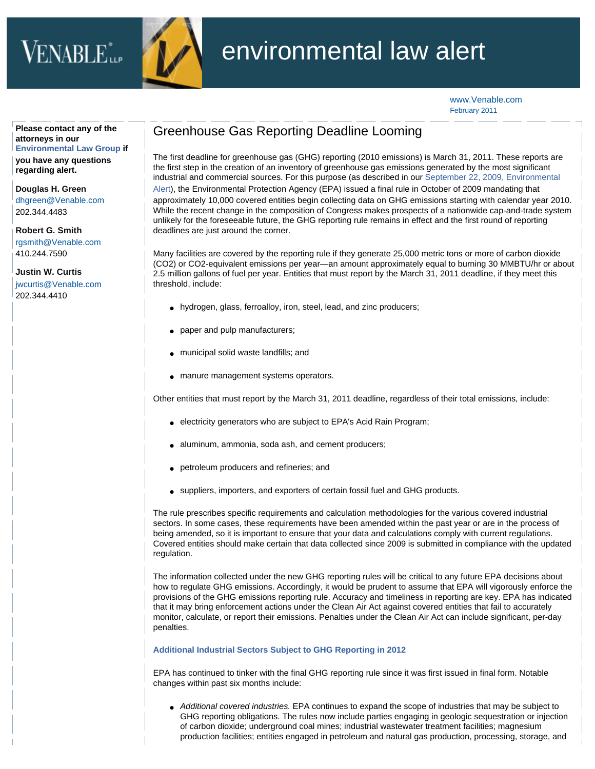



## environmental law alert

[www.Venable.com](http://www.venable.com/) February 2011

**Please contact any of the attorneys in our [Environmental Law Group](http://www.venable.com/environmental-law-practices/) if you have any questions regarding alert.** 

**[Douglas H. Green](http://www.venable.com/douglas-h-green/)** [dhgreen@Venable.com](mailto:dhgreen@Venable.com) 202.344.4483

**[Robert G. Smith](http://www.venable.com/robert-g-smith/)** [rgsmith@Venable.com](mailto:rgsmith@Venable.com) 410.244.7590

**[Justin W. Curtis](http://www.venable.com/justin-w-curtis/)** [jwcurtis@Venable.com](mailto:jwcurtis@Venable.com) 202.344.4410

## Greenhouse Gas Reporting Deadline Looming

The first deadline for greenhouse gas (GHG) reporting (2010 emissions) is March 31, 2011. These reports are the first step in the creation of an inventory of greenhouse gas emissions generated by the most significant industrial and commercial sources. For this purpose (as described in our [September 22, 2009, Environmental](http://www.venable.com/files/Publication/a981654f-5970-4413-8a87-4335334637cb/Presentation/PublicationAttachment/0289034f-399c-45ce-b512-4c991ace5644/EPAAlert.pdf)  [Alert\)](http://www.venable.com/files/Publication/a981654f-5970-4413-8a87-4335334637cb/Presentation/PublicationAttachment/0289034f-399c-45ce-b512-4c991ace5644/EPAAlert.pdf), the Environmental Protection Agency (EPA) issued a final rule in October of 2009 mandating that approximately 10,000 covered entities begin collecting data on GHG emissions starting with calendar year 2010. While the recent change in the composition of Congress makes prospects of a nationwide cap-and-trade system unlikely for the foreseeable future, the GHG reporting rule remains in effect and the first round of reporting deadlines are just around the corner.

Many facilities are covered by the reporting rule if they generate 25,000 metric tons or more of carbon dioxide (CO2) or CO2-equivalent emissions per year—an amount approximately equal to burning 30 MMBTU/hr or about 2.5 million gallons of fuel per year. Entities that must report by the March 31, 2011 deadline, if they meet this threshold, include:

- hydrogen, glass, ferroalloy, iron, steel, lead, and zinc producers;
- paper and pulp manufacturers;
- municipal solid waste landfills; and
- manure management systems operators.

Other entities that must report by the March 31, 2011 deadline, regardless of their total emissions, include:

- electricity generators who are subject to EPA's Acid Rain Program;
- aluminum, ammonia, soda ash, and cement producers;
- petroleum producers and refineries; and
- suppliers, importers, and exporters of certain fossil fuel and GHG products.

The rule prescribes specific requirements and calculation methodologies for the various covered industrial sectors. In some cases, these requirements have been amended within the past year or are in the process of being amended, so it is important to ensure that your data and calculations comply with current regulations. Covered entities should make certain that data collected since 2009 is submitted in compliance with the updated regulation.

The information collected under the new GHG reporting rules will be critical to any future EPA decisions about how to regulate GHG emissions. Accordingly, it would be prudent to assume that EPA will vigorously enforce the provisions of the GHG emissions reporting rule. Accuracy and timeliness in reporting are key. EPA has indicated that it may bring enforcement actions under the Clean Air Act against covered entities that fail to accurately monitor, calculate, or report their emissions. Penalties under the Clean Air Act can include significant, per-day penalties.

## **Additional Industrial Sectors Subject to GHG Reporting in 2012**

EPA has continued to tinker with the final GHG reporting rule since it was first issued in final form. Notable changes within past six months include:

● *Additional covered industries.* EPA continues to expand the scope of industries that may be subject to GHG reporting obligations. The rules now include parties engaging in geologic sequestration or injection of carbon dioxide; underground coal mines; industrial wastewater treatment facilities; magnesium production facilities; entities engaged in petroleum and natural gas production, processing, storage, and